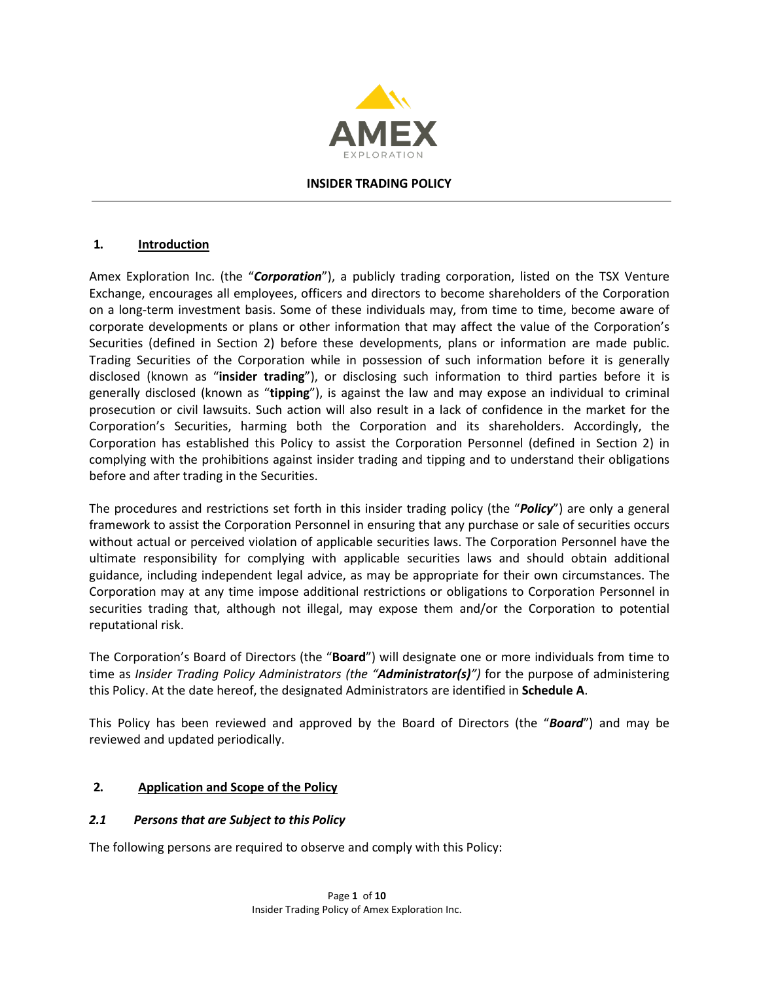

#### **INSIDER TRADING POLICY**

#### **1. Introduction**

Amex Exploration Inc. (the "*Corporation*"), a publicly trading corporation, listed on the TSX Venture Exchange, encourages all employees, officers and directors to become shareholders of the Corporation on a long-term investment basis. Some of these individuals may, from time to time, become aware of corporate developments or plans or other information that may affect the value of the Corporation's Securities (defined in Section 2) before these developments, plans or information are made public. Trading Securities of the Corporation while in possession of such information before it is generally disclosed (known as "**insider trading**"), or disclosing such information to third parties before it is generally disclosed (known as "**tipping**"), is against the law and may expose an individual to criminal prosecution or civil lawsuits. Such action will also result in a lack of confidence in the market for the Corporation's Securities, harming both the Corporation and its shareholders. Accordingly, the Corporation has established this Policy to assist the Corporation Personnel (defined in Section 2) in complying with the prohibitions against insider trading and tipping and to understand their obligations before and after trading in the Securities.

The procedures and restrictions set forth in this insider trading policy (the "*Policy*") are only a general framework to assist the Corporation Personnel in ensuring that any purchase or sale of securities occurs without actual or perceived violation of applicable securities laws. The Corporation Personnel have the ultimate responsibility for complying with applicable securities laws and should obtain additional guidance, including independent legal advice, as may be appropriate for their own circumstances. The Corporation may at any time impose additional restrictions or obligations to Corporation Personnel in securities trading that, although not illegal, may expose them and/or the Corporation to potential reputational risk.

The Corporation's Board of Directors (the "**Board**") will designate one or more individuals from time to time as *Insider Trading Policy Administrators (the "Administrator(s)")* for the purpose of administering this Policy. At the date hereof, the designated Administrators are identified in **Schedule A**.

This Policy has been reviewed and approved by the Board of Directors (the "*Board*") and may be reviewed and updated periodically.

#### **2. Application and Scope of the Policy**

#### *2.1 Persons that are Subject to this Policy*

The following persons are required to observe and comply with this Policy: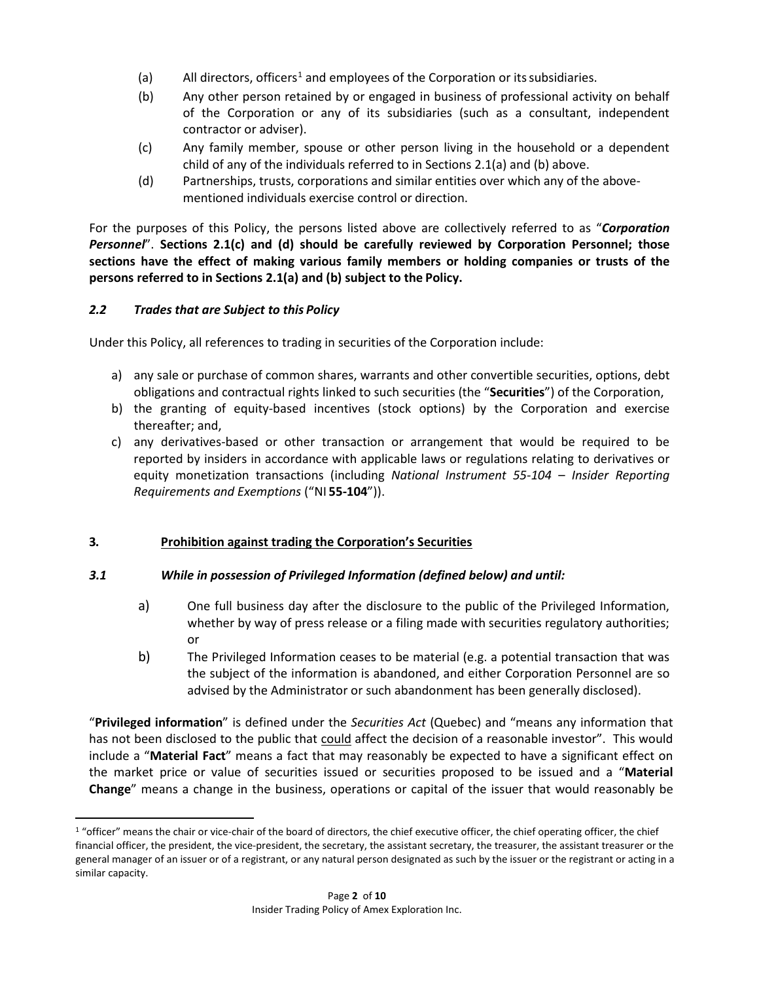- (a) All directors, officers<sup>[1](#page-1-0)</sup> and employees of the Corporation or its subsidiaries.
- (b) Any other person retained by or engaged in business of professional activity on behalf of the Corporation or any of its subsidiaries (such as a consultant, independent contractor or adviser).
- (c) Any family member, spouse or other person living in the household or a dependent child of any of the individuals referred to in Sections 2.1(a) and (b) above.
- (d) Partnerships, trusts, corporations and similar entities over which any of the abovementioned individuals exercise control or direction.

For the purposes of this Policy, the persons listed above are collectively referred to as "*Corporation Personnel*". **Sections 2.1(c) and (d) should be carefully reviewed by Corporation Personnel; those sections have the effect of making various family members or holding companies or trusts of the persons referred to in Sections 2.1(a) and (b) subject to the Policy.**

## *2.2 Trades that are Subject to this Policy*

Under this Policy, all references to trading in securities of the Corporation include:

- a) any sale or purchase of common shares, warrants and other convertible securities, options, debt obligations and contractual rights linked to such securities (the "**Securities**") of the Corporation,
- b) the granting of equity-based incentives (stock options) by the Corporation and exercise thereafter; and,
- c) any derivatives-based or other transaction or arrangement that would be required to be reported by insiders in accordance with applicable laws or regulations relating to derivatives or equity monetization transactions (including *National Instrument 55-104* – *Insider Reporting Requirements and Exemptions* ("NI **55-104**")).

## **3. Prohibition against trading the Corporation's Securities**

## *3.1 While in possession of Privileged Information (defined below) and until:*

- a) One full business day after the disclosure to the public of the Privileged Information, whether by way of press release or a filing made with securities regulatory authorities; or
- b) The Privileged Information ceases to be material (e.g. a potential transaction that was the subject of the information is abandoned, and either Corporation Personnel are so advised by the Administrator or such abandonment has been generally disclosed).

"**Privileged information**" is defined under the *Securities Act* (Quebec) and "means any information that has not been disclosed to the public that could affect the decision of a reasonable investor". This would include a "**Material Fact**" means a fact that may reasonably be expected to have a significant effect on the market price or value of securities issued or securities proposed to be issued and a "**Material Change**" means a change in the business, operations or capital of the issuer that would reasonably be

<span id="page-1-0"></span><sup>&</sup>lt;sup>1</sup> "officer" means the chair or vice-chair of the board of directors, the chief executive officer, the chief operating officer, the chief financial officer, the president, the vice-president, the secretary, the assistant secretary, the treasurer, the assistant treasurer or the general manager of an issuer or of a registrant, or any natural person designated as such by the issuer or the registrant or acting in a similar capacity.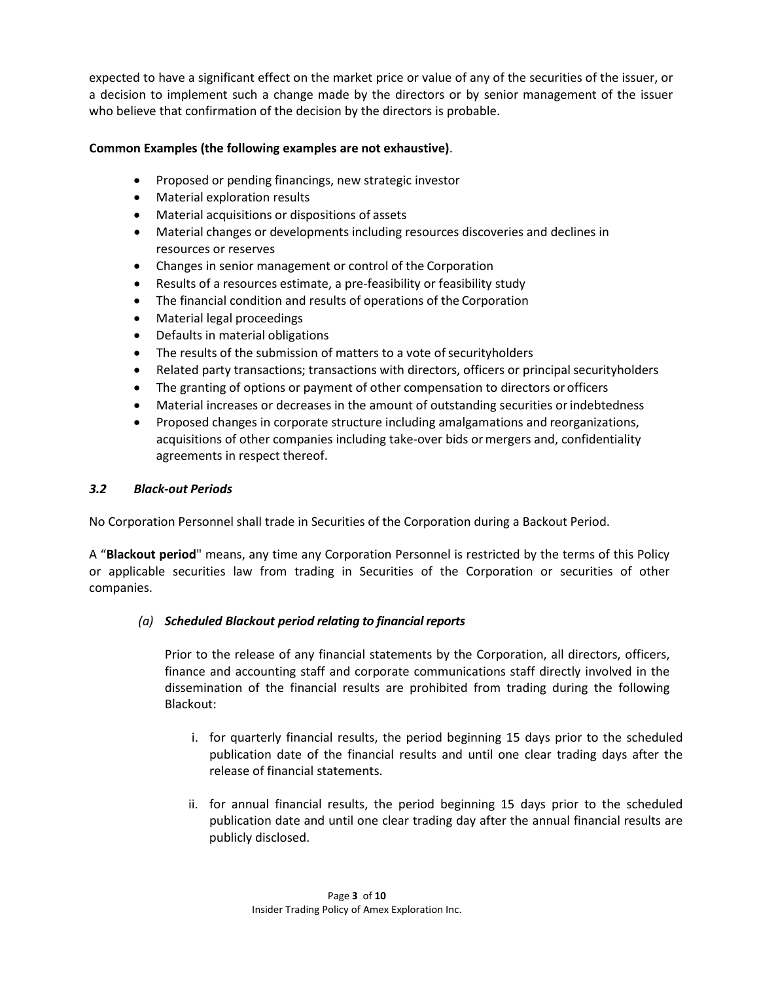expected to have a significant effect on the market price or value of any of the securities of the issuer, or a decision to implement such a change made by the directors or by senior management of the issuer who believe that confirmation of the decision by the directors is probable.

### **Common Examples (the following examples are not exhaustive)**.

- Proposed or pending financings, new strategic investor
- Material exploration results
- Material acquisitions or dispositions of assets
- Material changes or developments including resources discoveries and declines in resources or reserves
- Changes in senior management or control of the Corporation
- Results of a resources estimate, a pre-feasibility or feasibility study
- The financial condition and results of operations of the Corporation
- Material legal proceedings
- Defaults in material obligations
- The results of the submission of matters to a vote of securityholders
- Related party transactions; transactions with directors, officers or principal securityholders
- The granting of options or payment of other compensation to directors or officers
- Material increases or decreases in the amount of outstanding securities orindebtedness
- Proposed changes in corporate structure including amalgamations and reorganizations, acquisitions of other companies including take-over bids ormergers and, confidentiality agreements in respect thereof.

### *3.2 Black-out Periods*

No Corporation Personnel shall trade in Securities of the Corporation during a Backout Period.

A "**Blackout period**" means, any time any Corporation Personnel is restricted by the terms of this Policy or applicable securities law from trading in Securities of the Corporation or securities of other companies.

## *(a) Scheduled Blackout period relating to financial reports*

Prior to the release of any financial statements by the Corporation, all directors, officers, finance and accounting staff and corporate communications staff directly involved in the dissemination of the financial results are prohibited from trading during the following Blackout:

- i. for quarterly financial results, the period beginning 15 days prior to the scheduled publication date of the financial results and until one clear trading days after the release of financial statements.
- ii. for annual financial results, the period beginning 15 days prior to the scheduled publication date and until one clear trading day after the annual financial results are publicly disclosed.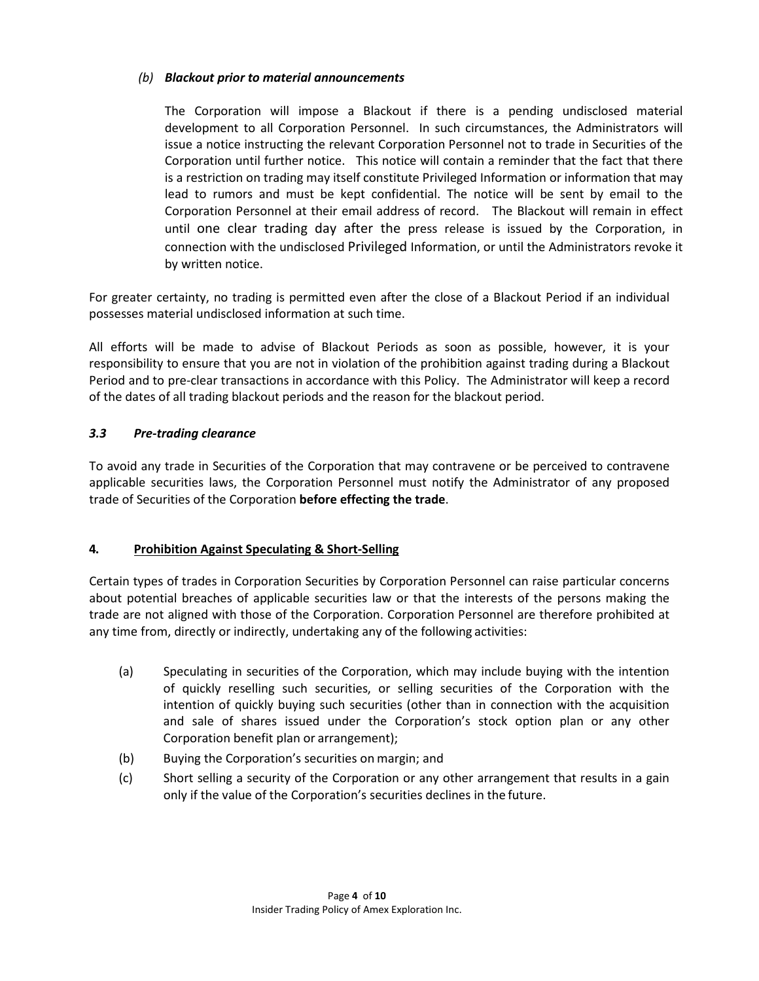## *(b) Blackout prior to material announcements*

The Corporation will impose a Blackout if there is a pending undisclosed material development to all Corporation Personnel. In such circumstances, the Administrators will issue a notice instructing the relevant Corporation Personnel not to trade in Securities of the Corporation until further notice. This notice will contain a reminder that the fact that there is a restriction on trading may itself constitute Privileged Information or information that may lead to rumors and must be kept confidential. The notice will be sent by email to the Corporation Personnel at their email address of record. The Blackout will remain in effect until one clear trading day after the press release is issued by the Corporation, in connection with the undisclosed Privileged Information, or until the Administrators revoke it by written notice.

For greater certainty, no trading is permitted even after the close of a Blackout Period if an individual possesses material undisclosed information at such time.

All efforts will be made to advise of Blackout Periods as soon as possible, however, it is your responsibility to ensure that you are not in violation of the prohibition against trading during a Blackout Period and to pre-clear transactions in accordance with this Policy. The Administrator will keep a record of the dates of all trading blackout periods and the reason for the blackout period.

### *3.3 Pre-trading clearance*

To avoid any trade in Securities of the Corporation that may contravene or be perceived to contravene applicable securities laws, the Corporation Personnel must notify the Administrator of any proposed trade of Securities of the Corporation **before effecting the trade**.

## **4. Prohibition Against Speculating & Short-Selling**

Certain types of trades in Corporation Securities by Corporation Personnel can raise particular concerns about potential breaches of applicable securities law or that the interests of the persons making the trade are not aligned with those of the Corporation. Corporation Personnel are therefore prohibited at any time from, directly or indirectly, undertaking any of the following activities:

- (a) Speculating in securities of the Corporation, which may include buying with the intention of quickly reselling such securities, or selling securities of the Corporation with the intention of quickly buying such securities (other than in connection with the acquisition and sale of shares issued under the Corporation's stock option plan or any other Corporation benefit plan or arrangement);
- (b) Buying the Corporation's securities on margin; and
- (c) Short selling a security of the Corporation or any other arrangement that results in a gain only if the value of the Corporation's securities declines in the future.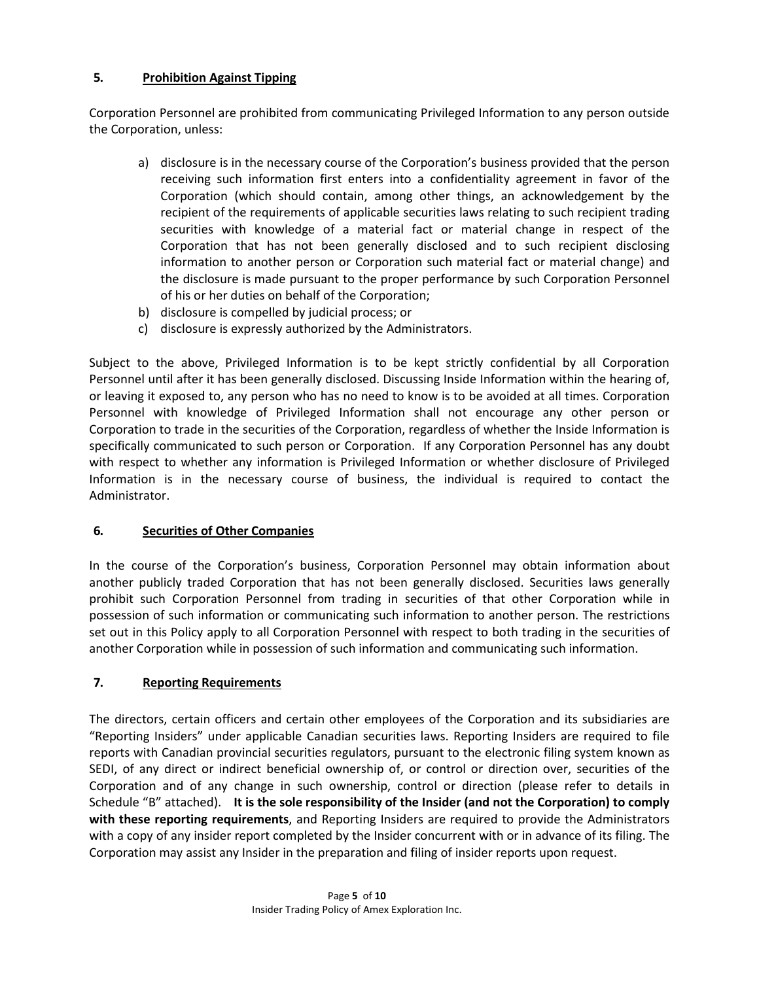# **5. Prohibition Against Tipping**

Corporation Personnel are prohibited from communicating Privileged Information to any person outside the Corporation, unless:

- a) disclosure is in the necessary course of the Corporation's business provided that the person receiving such information first enters into a confidentiality agreement in favor of the Corporation (which should contain, among other things, an acknowledgement by the recipient of the requirements of applicable securities laws relating to such recipient trading securities with knowledge of a material fact or material change in respect of the Corporation that has not been generally disclosed and to such recipient disclosing information to another person or Corporation such material fact or material change) and the disclosure is made pursuant to the proper performance by such Corporation Personnel of his or her duties on behalf of the Corporation;
- b) disclosure is compelled by judicial process; or
- c) disclosure is expressly authorized by the Administrators.

Subject to the above, Privileged Information is to be kept strictly confidential by all Corporation Personnel until after it has been generally disclosed. Discussing Inside Information within the hearing of, or leaving it exposed to, any person who has no need to know is to be avoided at all times. Corporation Personnel with knowledge of Privileged Information shall not encourage any other person or Corporation to trade in the securities of the Corporation, regardless of whether the Inside Information is specifically communicated to such person or Corporation. If any Corporation Personnel has any doubt with respect to whether any information is Privileged Information or whether disclosure of Privileged Information is in the necessary course of business, the individual is required to contact the Administrator.

## **6. Securities of Other Companies**

In the course of the Corporation's business, Corporation Personnel may obtain information about another publicly traded Corporation that has not been generally disclosed. Securities laws generally prohibit such Corporation Personnel from trading in securities of that other Corporation while in possession of such information or communicating such information to another person. The restrictions set out in this Policy apply to all Corporation Personnel with respect to both trading in the securities of another Corporation while in possession of such information and communicating such information.

## **7. Reporting Requirements**

The directors, certain officers and certain other employees of the Corporation and its subsidiaries are "Reporting Insiders" under applicable Canadian securities laws. Reporting Insiders are required to file reports with Canadian provincial securities regulators, pursuant to the electronic filing system known as SEDI, of any direct or indirect beneficial ownership of, or control or direction over, securities of the Corporation and of any change in such ownership, control or direction (please refer to details in Schedule "B" attached). **It is the sole responsibility of the Insider (and not the Corporation) to comply with these reporting requirements**, and Reporting Insiders are required to provide the Administrators with a copy of any insider report completed by the Insider concurrent with or in advance of its filing. The Corporation may assist any Insider in the preparation and filing of insider reports upon request.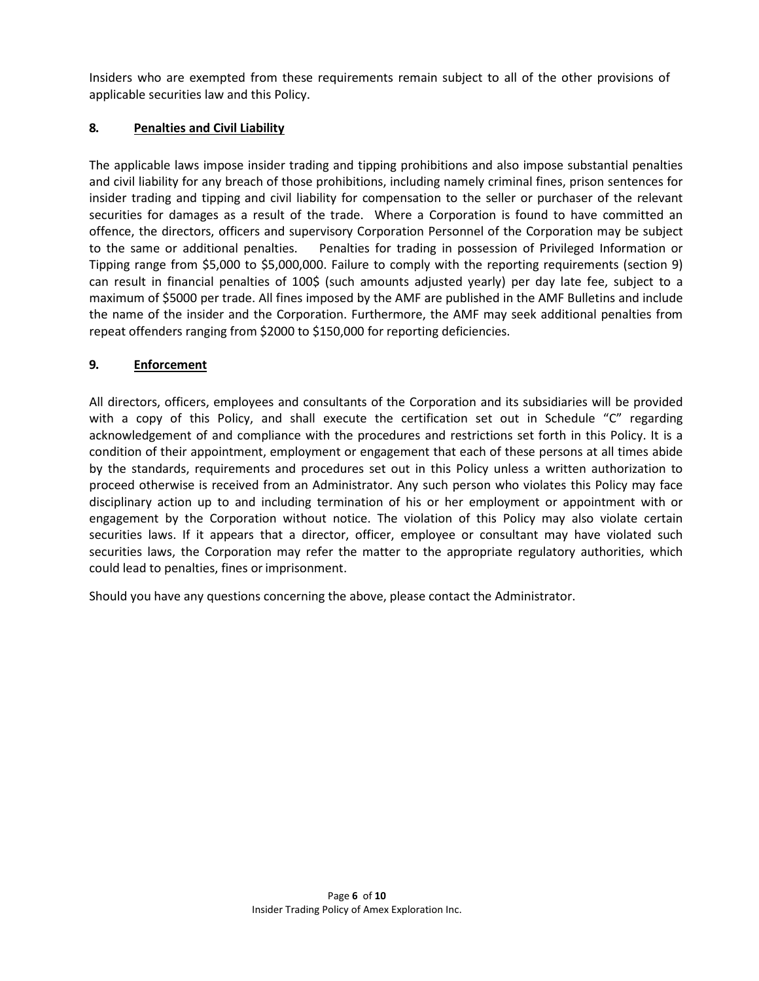Insiders who are exempted from these requirements remain subject to all of the other provisions of applicable securities law and this Policy.

## **8. Penalties and Civil Liability**

The applicable laws impose insider trading and tipping prohibitions and also impose substantial penalties and civil liability for any breach of those prohibitions, including namely criminal fines, prison sentences for insider trading and tipping and civil liability for compensation to the seller or purchaser of the relevant securities for damages as a result of the trade. Where a Corporation is found to have committed an offence, the directors, officers and supervisory Corporation Personnel of the Corporation may be subject to the same or additional penalties. Penalties for trading in possession of Privileged Information or Tipping range from \$5,000 to \$5,000,000. Failure to comply with the reporting requirements (section 9) can result in financial penalties of 100\$ (such amounts adjusted yearly) per day late fee, subject to a maximum of \$5000 per trade. All fines imposed by the AMF are published in the AMF Bulletins and include the name of the insider and the Corporation. Furthermore, the AMF may seek additional penalties from repeat offenders ranging from \$2000 to \$150,000 for reporting deficiencies.

# **9. Enforcement**

All directors, officers, employees and consultants of the Corporation and its subsidiaries will be provided with a copy of this Policy, and shall execute the certification set out in Schedule "C" regarding acknowledgement of and compliance with the procedures and restrictions set forth in this Policy. It is a condition of their appointment, employment or engagement that each of these persons at all times abide by the standards, requirements and procedures set out in this Policy unless a written authorization to proceed otherwise is received from an Administrator. Any such person who violates this Policy may face disciplinary action up to and including termination of his or her employment or appointment with or engagement by the Corporation without notice. The violation of this Policy may also violate certain securities laws. If it appears that a director, officer, employee or consultant may have violated such securities laws, the Corporation may refer the matter to the appropriate regulatory authorities, which could lead to penalties, fines or imprisonment.

Should you have any questions concerning the above, please contact the Administrator.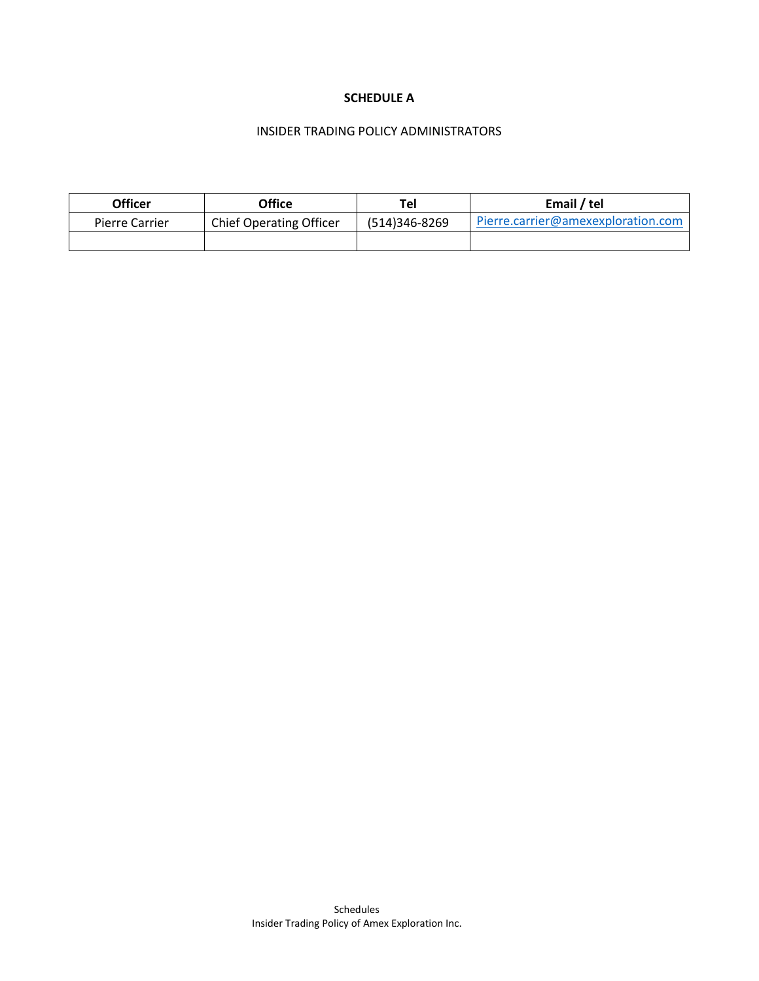#### **SCHEDULE A**

#### INSIDER TRADING POLICY ADMINISTRATORS

| Officer               | Office                         | <b>Tel</b>    | Email / tel                        |
|-----------------------|--------------------------------|---------------|------------------------------------|
| <b>Pierre Carrier</b> | <b>Chief Operating Officer</b> | (514)346-8269 | Pierre.carrier@amexexploration.com |
|                       |                                |               |                                    |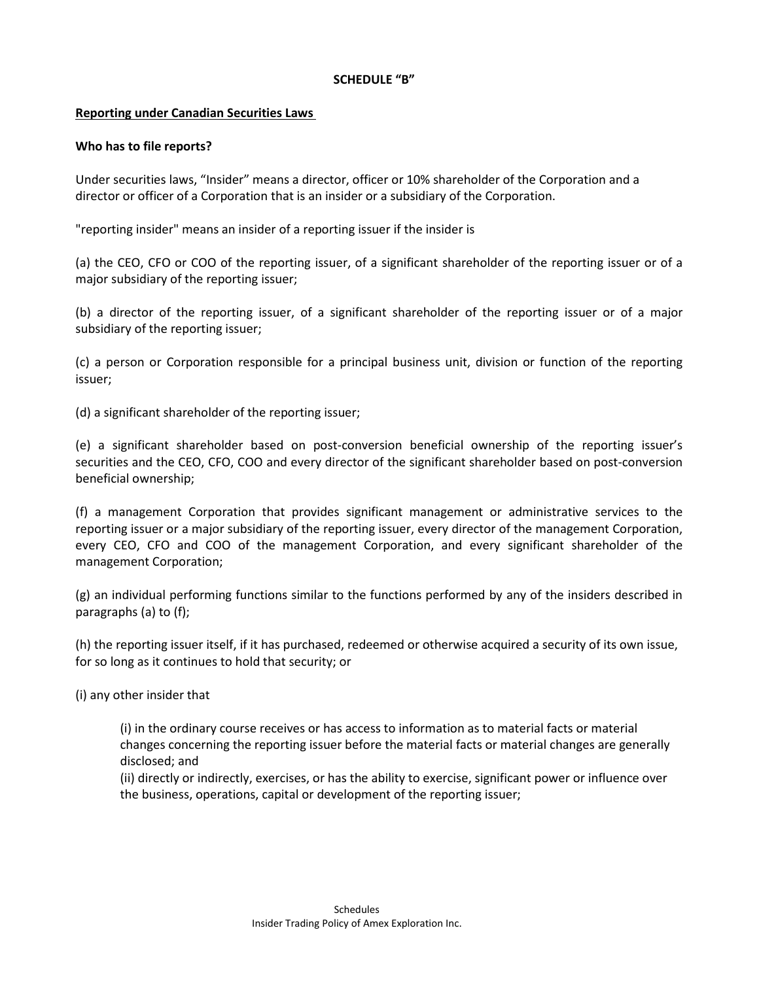#### **SCHEDULE "B"**

#### **Reporting under Canadian Securities Laws**

#### **Who has to file reports?**

Under securities laws, "Insider" means a director, officer or 10% shareholder of the Corporation and a director or officer of a Corporation that is an insider or a subsidiary of the Corporation.

"reporting insider" means an insider of a reporting issuer if the insider is

(a) the CEO, CFO or COO of the reporting issuer, of a significant shareholder of the reporting issuer or of a major subsidiary of the reporting issuer;

(b) a director of the reporting issuer, of a significant shareholder of the reporting issuer or of a major subsidiary of the reporting issuer;

(c) a person or Corporation responsible for a principal business unit, division or function of the reporting issuer;

(d) a significant shareholder of the reporting issuer;

(e) a significant shareholder based on post-conversion beneficial ownership of the reporting issuer's securities and the CEO, CFO, COO and every director of the significant shareholder based on post-conversion beneficial ownership;

(f) a management Corporation that provides significant management or administrative services to the reporting issuer or a major subsidiary of the reporting issuer, every director of the management Corporation, every CEO, CFO and COO of the management Corporation, and every significant shareholder of the management Corporation;

(g) an individual performing functions similar to the functions performed by any of the insiders described in paragraphs (a) to (f);

(h) the reporting issuer itself, if it has purchased, redeemed or otherwise acquired a security of its own issue, for so long as it continues to hold that security; or

(i) any other insider that

(i) in the ordinary course receives or has access to information as to material facts or material changes concerning the reporting issuer before the material facts or material changes are generally disclosed; and

(ii) directly or indirectly, exercises, or has the ability to exercise, significant power or influence over the business, operations, capital or development of the reporting issuer;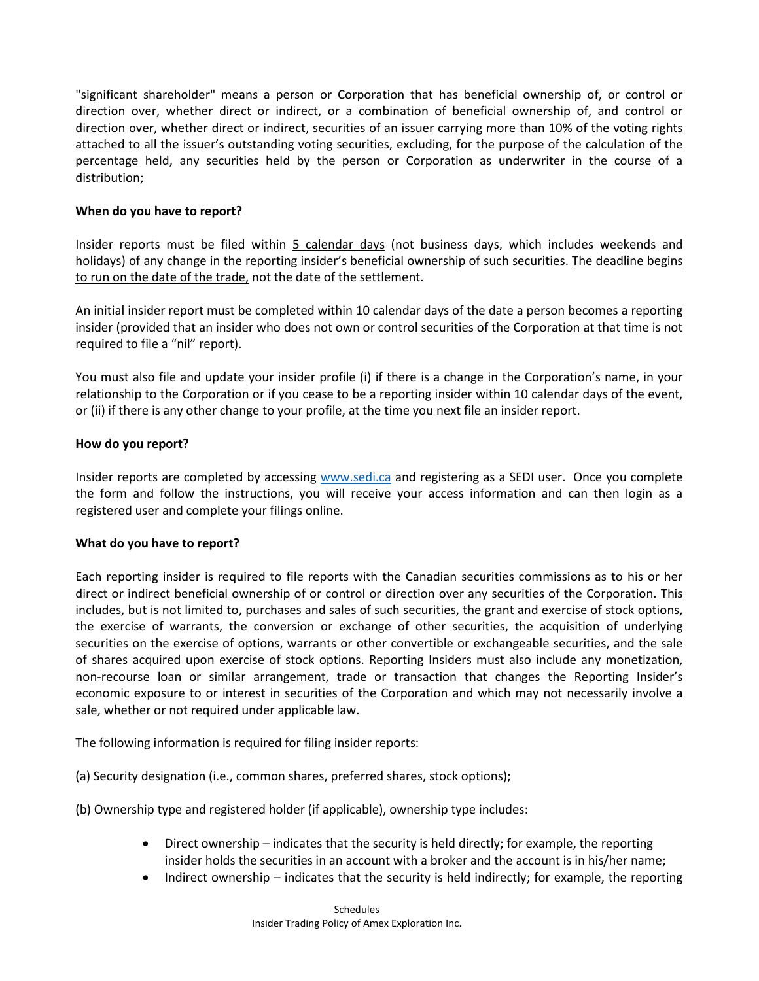"significant shareholder" means a person or Corporation that has beneficial ownership of, or control or direction over, whether direct or indirect, or a combination of beneficial ownership of, and control or direction over, whether direct or indirect, securities of an issuer carrying more than 10% of the voting rights attached to all the issuer's outstanding voting securities, excluding, for the purpose of the calculation of the percentage held, any securities held by the person or Corporation as underwriter in the course of a distribution;

#### **When do you have to report?**

Insider reports must be filed within 5 calendar days (not business days, which includes weekends and holidays) of any change in the reporting insider's beneficial ownership of such securities. The deadline begins to run on the date of the trade, not the date of the settlement.

An initial insider report must be completed within 10 calendar days of the date a person becomes a reporting insider (provided that an insider who does not own or control securities of the Corporation at that time is not required to file a "nil" report).

You must also file and update your insider profile (i) if there is a change in the Corporation's name, in your relationship to the Corporation or if you cease to be a reporting insider within 10 calendar days of the event, or (ii) if there is any other change to your profile, at the time you next file an insider report.

#### **How do you report?**

Insider reports are completed by accessing [www.sedi.ca](http://www.sedi.ca/) and registering as a SEDI user. Once you complete the form and follow the instructions, you will receive your access information and can then login as a registered user and complete your filings online.

#### **What do you have to report?**

Each reporting insider is required to file reports with the Canadian securities commissions as to his or her direct or indirect beneficial ownership of or control or direction over any securities of the Corporation. This includes, but is not limited to, purchases and sales of such securities, the grant and exercise of stock options, the exercise of warrants, the conversion or exchange of other securities, the acquisition of underlying securities on the exercise of options, warrants or other convertible or exchangeable securities, and the sale of shares acquired upon exercise of stock options. Reporting Insiders must also include any monetization, non-recourse loan or similar arrangement, trade or transaction that changes the Reporting Insider's economic exposure to or interest in securities of the Corporation and which may not necessarily involve a sale, whether or not required under applicable law.

The following information is required for filing insider reports:

(a) Security designation (i.e., common shares, preferred shares, stock options);

(b) Ownership type and registered holder (if applicable), ownership type includes:

- Direct ownership indicates that the security is held directly; for example, the reporting insider holds the securities in an account with a broker and the account is in his/her name;
- Indirect ownership indicates that the security is held indirectly; for example, the reporting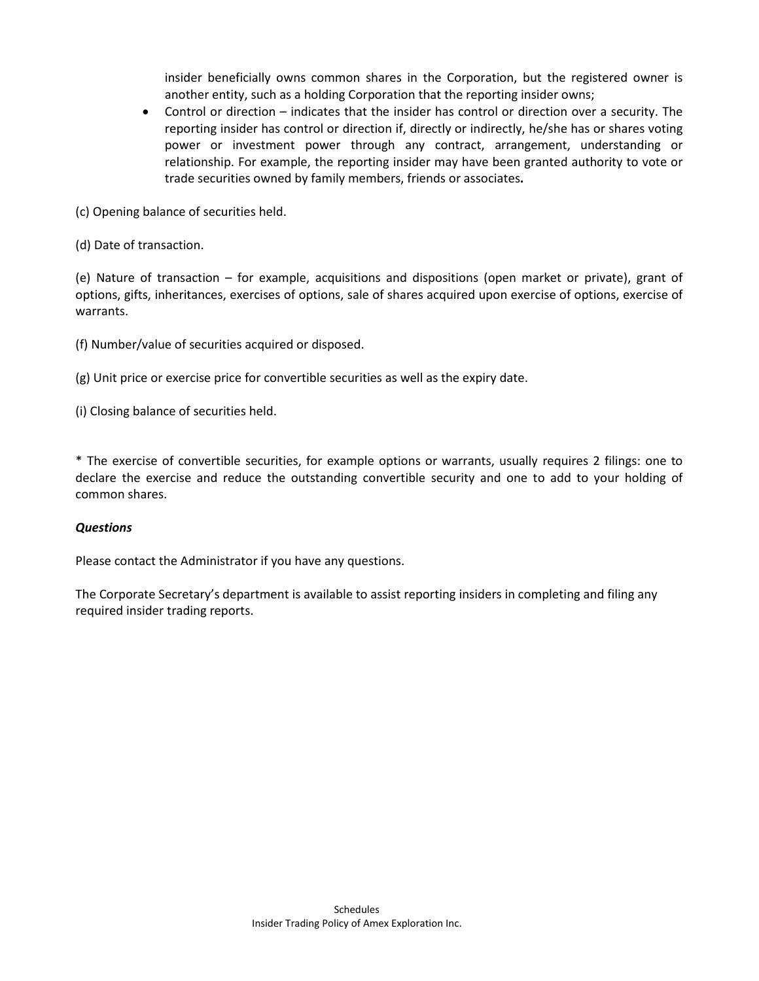insider beneficially owns common shares in the Corporation, but the registered owner is another entity, such as a holding Corporation that the reporting insider owns;

• Control or direction – indicates that the insider has control or direction over a security. The reporting insider has control or direction if, directly or indirectly, he/she has or shares voting power or investment power through any contract, arrangement, understanding or relationship. For example, the reporting insider may have been granted authority to vote or trade securities owned by family members, friends or associates**.**

(c) Opening balance of securities held.

(d) Date of transaction.

(e) Nature of transaction – for example, acquisitions and dispositions (open market or private), grant of options, gifts, inheritances, exercises of options, sale of shares acquired upon exercise of options, exercise of warrants.

(f) Number/value of securities acquired or disposed.

(g) Unit price or exercise price for convertible securities as well as the expiry date.

(i) Closing balance of securities held.

\* The exercise of convertible securities, for example options or warrants, usually requires 2 filings: one to declare the exercise and reduce the outstanding convertible security and one to add to your holding of common shares.

## *Questions*

Please contact the Administrator if you have any questions.

The Corporate Secretary's department is available to assist reporting insiders in completing and filing any required insider trading reports.